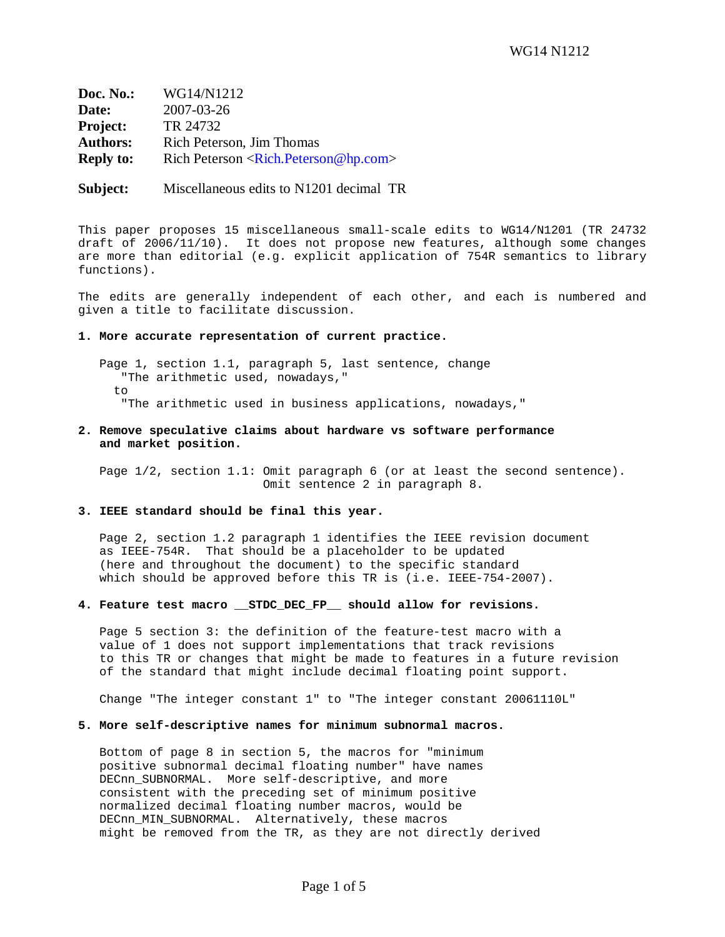**Doc. No.:** WG14/N1212 **Date:** 2007-03-26 **Project:** TR 24732 Authors: Rich Peterson, Jim Thomas **Reply to:** Rich Peterson <Rich.Peterson@hp.com>

**Subject:** Miscellaneous edits to N1201 decimal TR

This paper proposes 15 miscellaneous small-scale edits to WG14/N1201 (TR 24732 draft of 2006/11/10). It does not propose new features, although some changes are more than editorial (e.g. explicit application of 754R semantics to library functions).

The edits are generally independent of each other, and each is numbered and given a title to facilitate discussion.

### **1. More accurate representation of current practice.**

 Page 1, section 1.1, paragraph 5, last sentence, change "The arithmetic used, nowadays,"  $t \circ$ "The arithmetic used in business applications, nowadays,"

**2. Remove speculative claims about hardware vs software performance and market position.**

 Page 1/2, section 1.1: Omit paragraph 6 (or at least the second sentence). Omit sentence 2 in paragraph 8.

# **3. IEEE standard should be final this year.**

 Page 2, section 1.2 paragraph 1 identifies the IEEE revision document as IEEE-754R. That should be a placeholder to be updated (here and throughout the document) to the specific standard which should be approved before this TR is (i.e. IEEE-754-2007).

# **4. Feature test macro \_\_STDC\_DEC\_FP\_\_ should allow for revisions.**

 Page 5 section 3: the definition of the feature-test macro with a value of 1 does not support implementations that track revisions to this TR or changes that might be made to features in a future revision of the standard that might include decimal floating point support.

Change "The integer constant 1" to "The integer constant 20061110L"

#### **5. More self-descriptive names for minimum subnormal macros.**

 Bottom of page 8 in section 5, the macros for "minimum positive subnormal decimal floating number" have names DECnn\_SUBNORMAL. More self-descriptive, and more consistent with the preceding set of minimum positive normalized decimal floating number macros, would be DECnn\_MIN\_SUBNORMAL. Alternatively, these macros might be removed from the TR, as they are not directly derived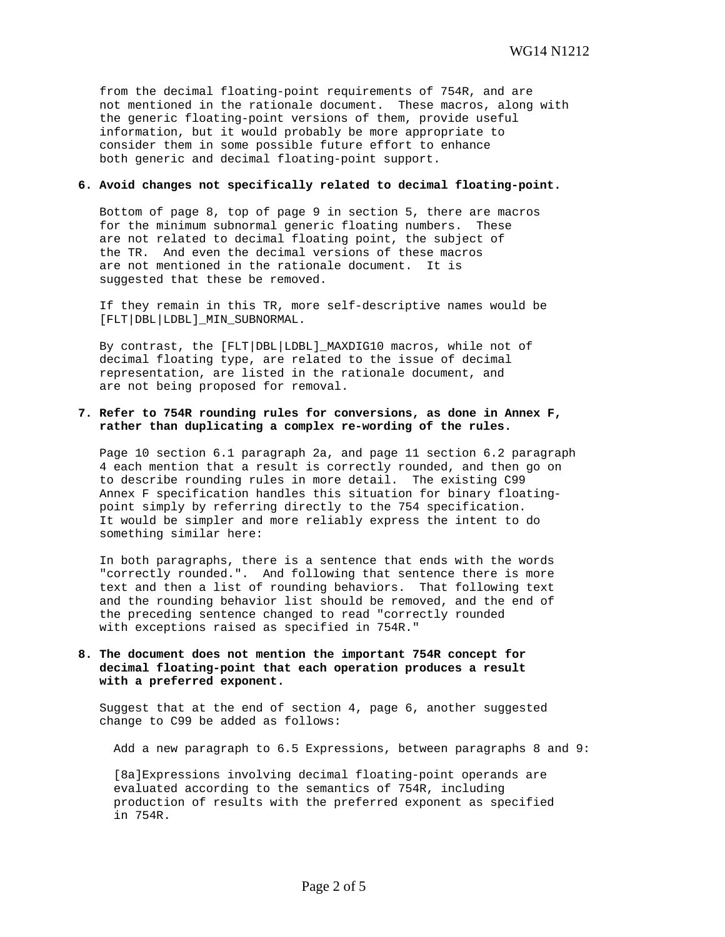from the decimal floating-point requirements of 754R, and are not mentioned in the rationale document. These macros, along with the generic floating-point versions of them, provide useful information, but it would probably be more appropriate to consider them in some possible future effort to enhance both generic and decimal floating-point support.

# **6. Avoid changes not specifically related to decimal floating-point.**

 Bottom of page 8, top of page 9 in section 5, there are macros for the minimum subnormal generic floating numbers. These are not related to decimal floating point, the subject of the TR. And even the decimal versions of these macros are not mentioned in the rationale document. It is suggested that these be removed.

 If they remain in this TR, more self-descriptive names would be [FLT|DBL|LDBL]\_MIN\_SUBNORMAL.

 By contrast, the [FLT|DBL|LDBL]\_MAXDIG10 macros, while not of decimal floating type, are related to the issue of decimal representation, are listed in the rationale document, and are not being proposed for removal.

# **7. Refer to 754R rounding rules for conversions, as done in Annex F, rather than duplicating a complex re-wording of the rules.**

 Page 10 section 6.1 paragraph 2a, and page 11 section 6.2 paragraph 4 each mention that a result is correctly rounded, and then go on to describe rounding rules in more detail. The existing C99 Annex F specification handles this situation for binary floating point simply by referring directly to the 754 specification. It would be simpler and more reliably express the intent to do something similar here:

 In both paragraphs, there is a sentence that ends with the words "correctly rounded.". And following that sentence there is more text and then a list of rounding behaviors. That following text and the rounding behavior list should be removed, and the end of the preceding sentence changed to read "correctly rounded with exceptions raised as specified in 754R."

# **8. The document does not mention the important 754R concept for decimal floating-point that each operation produces a result with a preferred exponent.**

 Suggest that at the end of section 4, page 6, another suggested change to C99 be added as follows:

Add a new paragraph to 6.5 Expressions, between paragraphs 8 and 9:

 [8a]Expressions involving decimal floating-point operands are evaluated according to the semantics of 754R, including production of results with the preferred exponent as specified in 754R.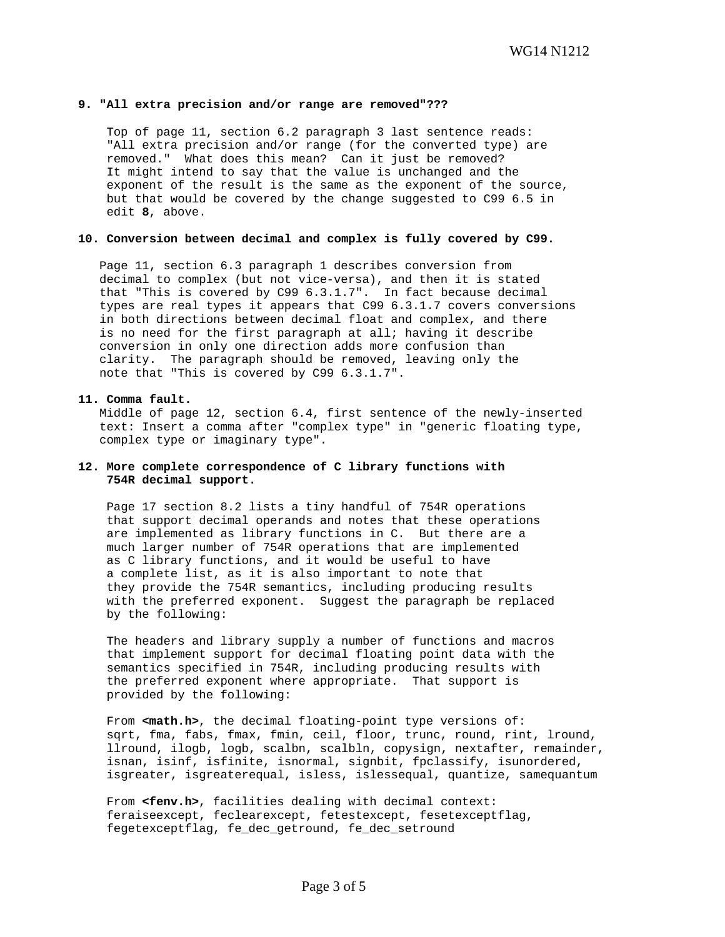## **9. "All extra precision and/or range are removed"???**

 Top of page 11, section 6.2 paragraph 3 last sentence reads: "All extra precision and/or range (for the converted type) are removed." What does this mean? Can it just be removed? It might intend to say that the value is unchanged and the exponent of the result is the same as the exponent of the source, but that would be covered by the change suggested to C99 6.5 in edit **8**, above.

#### **10. Conversion between decimal and complex is fully covered by C99.**

 Page 11, section 6.3 paragraph 1 describes conversion from decimal to complex (but not vice-versa), and then it is stated that "This is covered by C99 6.3.1.7". In fact because decimal types are real types it appears that C99 6.3.1.7 covers conversions in both directions between decimal float and complex, and there is no need for the first paragraph at all; having it describe conversion in only one direction adds more confusion than clarity. The paragraph should be removed, leaving only the note that "This is covered by C99 6.3.1.7".

#### **11. Comma fault.**

 Middle of page 12, section 6.4, first sentence of the newly-inserted text: Insert a comma after "complex type" in "generic floating type, complex type or imaginary type".

# **12. More complete correspondence of C library functions with 754R decimal support.**

 Page 17 section 8.2 lists a tiny handful of 754R operations that support decimal operands and notes that these operations are implemented as library functions in C. But there are a much larger number of 754R operations that are implemented as C library functions, and it would be useful to have a complete list, as it is also important to note that they provide the 754R semantics, including producing results with the preferred exponent. Suggest the paragraph be replaced by the following:

 The headers and library supply a number of functions and macros that implement support for decimal floating point data with the semantics specified in 754R, including producing results with the preferred exponent where appropriate. That support is provided by the following:

From **<math.h>**, the decimal floating-point type versions of: sqrt, fma, fabs, fmax, fmin, ceil, floor, trunc, round, rint, lround, llround, ilogb, logb, scalbn, scalbln, copysign, nextafter, remainder, isnan, isinf, isfinite, isnormal, signbit, fpclassify, isunordered, isgreater, isgreaterequal, isless, islessequal, quantize, samequantum

From **<fenv.h>**, facilities dealing with decimal context: feraiseexcept, feclearexcept, fetestexcept, fesetexceptflag, fegetexceptflag, fe\_dec\_getround, fe\_dec\_setround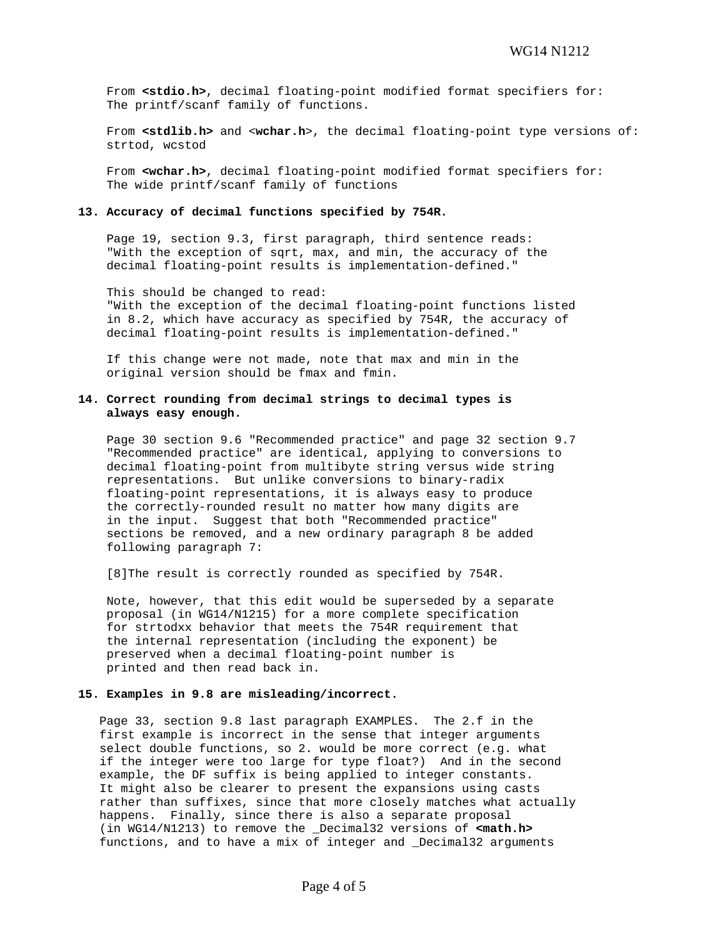From **<stdio.h>**, decimal floating-point modified format specifiers for: The printf/scanf family of functions.

From <**stdlib.h>** and <wchar.h>, the decimal floating-point type versions of: strtod, wcstod

 From **<wchar.h>**, decimal floating-point modified format specifiers for: The wide printf/scanf family of functions

#### **13. Accuracy of decimal functions specified by 754R.**

 Page 19, section 9.3, first paragraph, third sentence reads: "With the exception of sqrt, max, and min, the accuracy of the decimal floating-point results is implementation-defined."

 This should be changed to read: "With the exception of the decimal floating-point functions listed in 8.2, which have accuracy as specified by 754R, the accuracy of decimal floating-point results is implementation-defined."

 If this change were not made, note that max and min in the original version should be fmax and fmin.

# **14. Correct rounding from decimal strings to decimal types is always easy enough.**

 Page 30 section 9.6 "Recommended practice" and page 32 section 9.7 "Recommended practice" are identical, applying to conversions to decimal floating-point from multibyte string versus wide string representations. But unlike conversions to binary-radix floating-point representations, it is always easy to produce the correctly-rounded result no matter how many digits are in the input. Suggest that both "Recommended practice" sections be removed, and a new ordinary paragraph 8 be added following paragraph 7:

[8]The result is correctly rounded as specified by 754R.

 Note, however, that this edit would be superseded by a separate proposal (in WG14/N1215) for a more complete specification for strtodxx behavior that meets the 754R requirement that the internal representation (including the exponent) be preserved when a decimal floating-point number is printed and then read back in.

#### **15. Examples in 9.8 are misleading/incorrect.**

 Page 33, section 9.8 last paragraph EXAMPLES. The 2.f in the first example is incorrect in the sense that integer arguments select double functions, so 2. would be more correct (e.g. what if the integer were too large for type float?) And in the second example, the DF suffix is being applied to integer constants. It might also be clearer to present the expansions using casts rather than suffixes, since that more closely matches what actually happens. Finally, since there is also a separate proposal (in WG14/N1213) to remove the \_Decimal32 versions of **<math.h>** functions, and to have a mix of integer and \_Decimal32 arguments